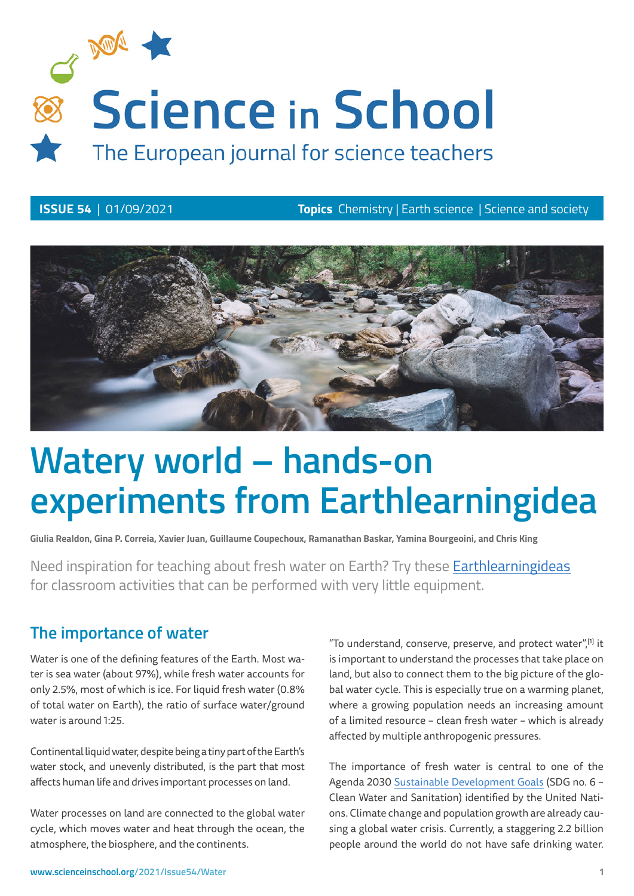

**ISSUE 54** | 01/09/2021 **Topics** Chemistry | Earth science | Science and society



# **Watery world – hands-on experiments from Earthlearningidea**

**Giulia Realdon, Gina P. Correia, Xavier Juan, Guillaume Coupechoux, Ramanathan Baskar, Yamina Bourgeoini, and Chris King** 

Need inspiration for teaching about fresh water on Earth? Try these [Earthlearningideas](https://www.earthlearningidea.com) for classroom activities that can be performed with very little equipment.

## **The importance of water**

Water is one of the defining features of the Earth. Most water is sea water (about 97%), while fresh water accounts for only 2.5%, most of which is ice. For liquid fresh water (0.8% of total water on Earth), the ratio of surface water/ground water is around 1:25.

Continental liquid water, despite being a tiny part of the Earth's water stock, and unevenly distributed, is the part that most affects human life and drives important processes on land.

Water processes on land are connected to the global water cycle, which moves water and heat through the ocean, the atmosphere, the biosphere, and the continents.

"To understand, conserve, preserve, and protect water",<sup>[1]</sup> it is important to understand the processes that take place on land, but also to connect them to the big picture of the global water cycle. This is especially true on a warming planet, where a growing population needs an increasing amount of a limited resource – clean fresh water – which is already affected by multiple anthropogenic pressures.

The importance of fresh water is central to one of the Agenda 2030 [Sustainable Development Goals](http://www.teachsdgs.org/) (SDG no. 6 – Clean Water and Sanitation) identified by the United Nations. Climate change and population growth are already causing a global water crisis. Currently, a staggering 2.2 billion people around the world do not have safe drinking water.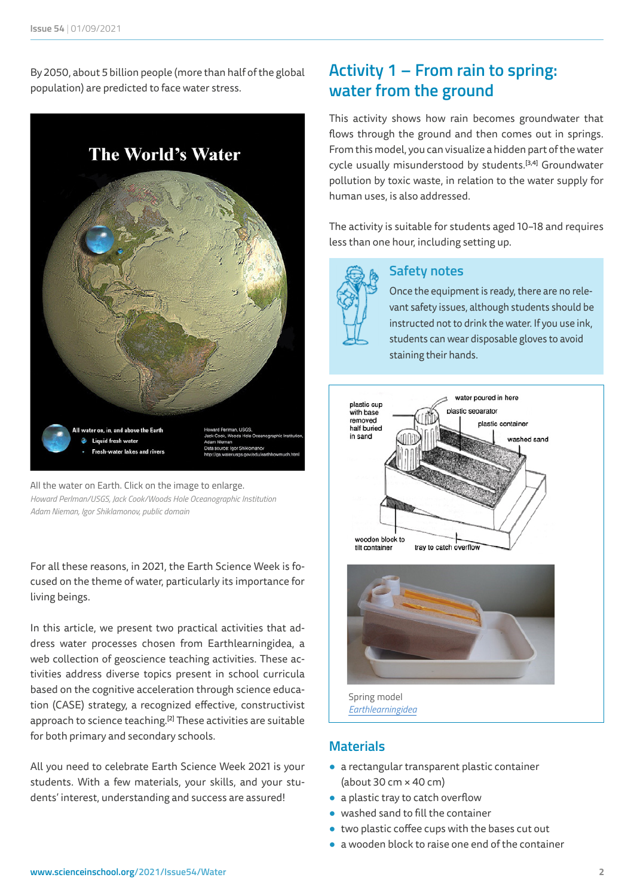By 2050, about 5 billion people (more than half of the global population) are predicted to face water stress.



All the water on Earth. Click on the image to enlarge. *Howard Perlman/USGS, Jack Cook/Woods Hole Oceanographic Institution Adam Nieman, Igor Shiklamonov, public domain*

For all these reasons, in 2021, the Earth Science Week is focused on the theme of water, particularly its importance for living beings.

In this article, we present two practical activities that address water processes chosen from Earthlearningidea, a web collection of geoscience teaching activities. These activities address diverse topics present in school curricula based on the cognitive acceleration through science education (CASE) strategy, a recognized effective, constructivist approach to science teaching.<sup>[2]</sup> These activities are suitable for both primary and secondary schools.

All you need to celebrate Earth Science Week 2021 is your students. With a few materials, your skills, and your students' interest, understanding and success are assured!

# **Activity 1 – From rain to spring: water from the ground**

This activity shows how rain becomes groundwater that flows through the ground and then comes out in springs. From this model, you can visualize a hidden part of the water cycle usually misunderstood by students.<sup>[3,4]</sup> Groundwater pollution by toxic waste, in relation to the water supply for human uses, is also addressed.

The activity is suitable for students aged 10–18 and requires less than one hour, including setting up.



## **Safety notes**

Once the equipment is ready, there are no relevant safety issues, although students should be instructed not to drink the water. If you use ink, students can wear disposable gloves to avoid staining their hands.





Spring model *[Earthlearningidea](https://www.earthlearningidea.com)*

#### **Materials**

- **●** a rectangular transparent plastic container (about 30 cm × 40 cm)
- **●** a plastic tray to catch overflow
- washed sand to fill the container
- **●** two plastic coffee cups with the bases cut out
- **●** a wooden block to raise one end of the container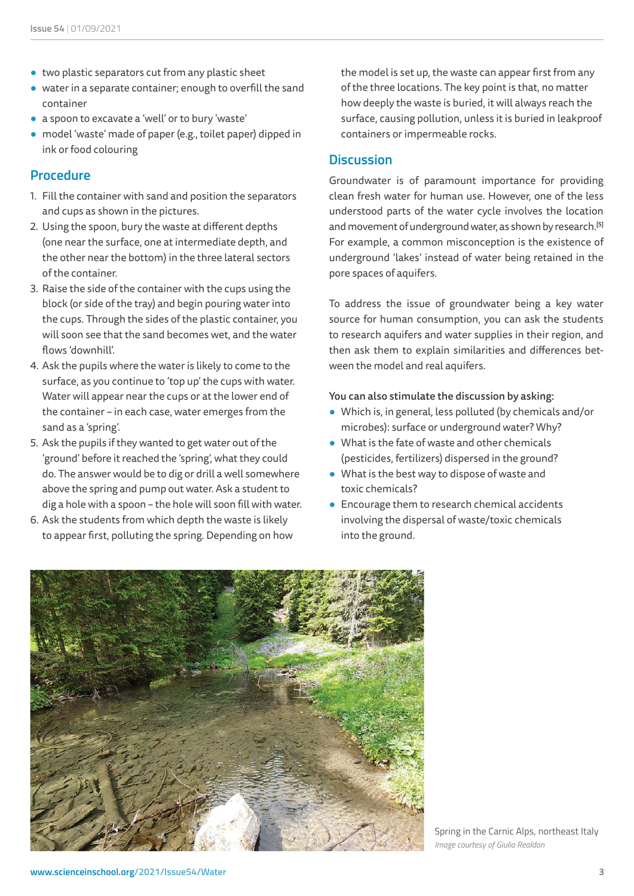- **●** two plastic separators cut from any plastic sheet
- **●** water in a separate container; enough to overfill the sand container
- **●** a spoon to excavate a 'well' or to bury 'waste'
- **●** model 'waste' made of paper (e.g., toilet paper) dipped in ink or food colouring

#### **Procedure**

- 1. Fill the container with sand and position the separators and cups as shown in the pictures.
- 2. Using the spoon, bury the waste at different depths (one near the surface, one at intermediate depth, and the other near the bottom) in the three lateral sectors of the container.
- 3. Raise the side of the container with the cups using the block (or side of the tray) and begin pouring water into the cups. Through the sides of the plastic container, you will soon see that the sand becomes wet, and the water flows 'downhill'.
- 4. Ask the pupils where the water is likely to come to the surface, as you continue to 'top up' the cups with water. Water will appear near the cups or at the lower end of the container – in each case, water emerges from the sand as a 'spring'.
- 5. Ask the pupils if they wanted to get water out of the 'ground' before it reached the 'spring', what they could do. The answer would be to dig or drill a well somewhere above the spring and pump out water. Ask a student to dig a hole with a spoon – the hole will soon fill with water.
- 6. Ask the students from which depth the waste is likely to appear first, polluting the spring. Depending on how

the model is set up, the waste can appear first from any of the three locations. The key point is that, no matter how deeply the waste is buried, it will always reach the surface, causing pollution, unless it is buried in leakproof containers or impermeable rocks.

#### **Discussion**

Groundwater is of paramount importance for providing clean fresh water for human use. However, one of the less understood parts of the water cycle involves the location and movement of underground water, as shown by research.<sup>[5]</sup> For example, a common misconception is the existence of underground 'lakes' instead of water being retained in the pore spaces of aquifers.

To address the issue of groundwater being a key water source for human consumption, you can ask the students to research aquifers and water supplies in their region, and then ask them to explain similarities and differences between the model and real aquifers.

#### You can also stimulate the discussion by asking:

- **●** Which is, in general, less polluted (by chemicals and/or microbes): surface or underground water? Why?
- **●** What is the fate of waste and other chemicals (pesticides, fertilizers) dispersed in the ground?
- **●** What is the best way to dispose of waste and toxic chemicals?
- **●** Encourage them to research chemical accidents involving the dispersal of waste/toxic chemicals into the ground.



Spring in the Carnic Alps, northeast Italy *Image courtesy of Giulia Realdon*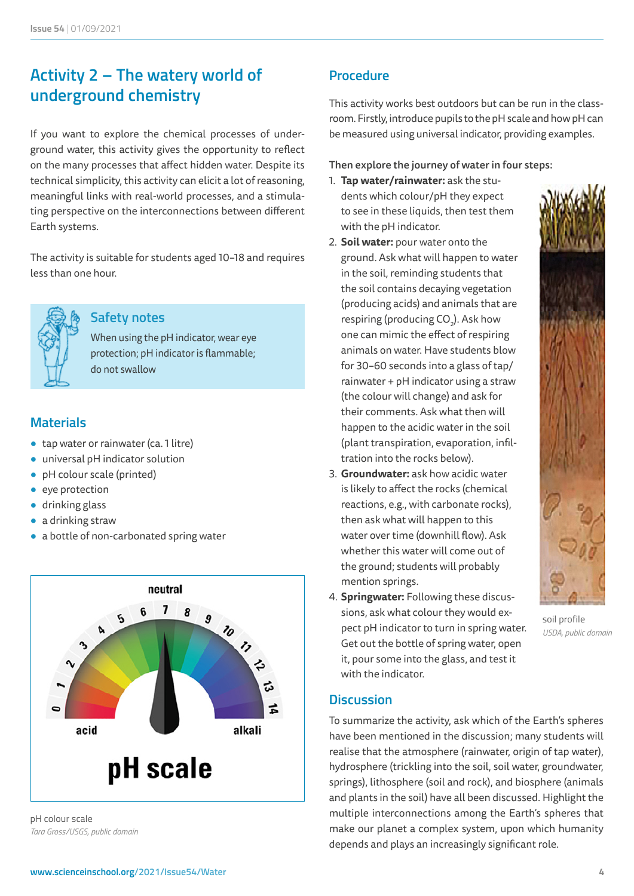# **Activity 2 – The watery world of underground chemistry**

If you want to explore the chemical processes of underground water, this activity gives the opportunity to reflect on the many processes that affect hidden water. Despite its technical simplicity, this activity can elicit a lot of reasoning, meaningful links with real-world processes, and a stimulating perspective on the interconnections between different Earth systems.

The activity is suitable for students aged 10–18 and requires less than one hour.



#### **Safety notes**

When using the pH indicator, wear eye protection; pH indicator is flammable; do not swallow

#### **Materials**

- **●** tap water or rainwater (ca. 1 litre)
- **●** universal pH indicator solution
- **●** pH colour scale (printed)
- **●** eye protection
- **●** drinking glass
- **●** a drinking straw
- **●** a bottle of non-carbonated spring water



pH colour scale *Tara Gross/USGS, public domain*

#### **Procedure**

This activity works best outdoors but can be run in the classroom. Firstly, introduce pupils to the pH scale and how pH can be measured using universal indicator, providing examples.

#### Then explore the journey of water in four steps:

- 1. **Tap water/rainwater:** ask the students which colour/pH they expect to see in these liquids, then test them with the pH indicator.
- 2. **Soil water:** pour water onto the ground. Ask what will happen to water in the soil, reminding students that the soil contains decaying vegetation (producing acids) and animals that are respiring (producing  $CO<sub>2</sub>$ ). Ask how one can mimic the effect of respiring animals on water. Have students blow for 30–60 seconds into a glass of tap/ rainwater + pH indicator using a straw (the colour will change) and ask for their comments. Ask what then will happen to the acidic water in the soil (plant transpiration, evaporation, infiltration into the rocks below).
- 3. **Groundwater:** ask how acidic water is likely to affect the rocks (chemical reactions, e.g., with carbonate rocks), then ask what will happen to this water over time (downhill flow). Ask whether this water will come out of the ground; students will probably mention springs.
- 4. **Springwater:** Following these discussions, ask what colour they would expect pH indicator to turn in spring water. Get out the bottle of spring water, open it, pour some into the glass, and test it with the indicator.

#### **Discussion**

To summarize the activity, ask which of the Earth's spheres have been mentioned in the discussion; many students will realise that the atmosphere (rainwater, origin of tap water), hydrosphere (trickling into the soil, soil water, groundwater, springs), lithosphere (soil and rock), and biosphere (animals and plants in the soil) have all been discussed. Highlight the multiple interconnections among the Earth's spheres that make our planet a complex system, upon which humanity depends and plays an increasingly significant role.



soil profile *USDA, public domain*